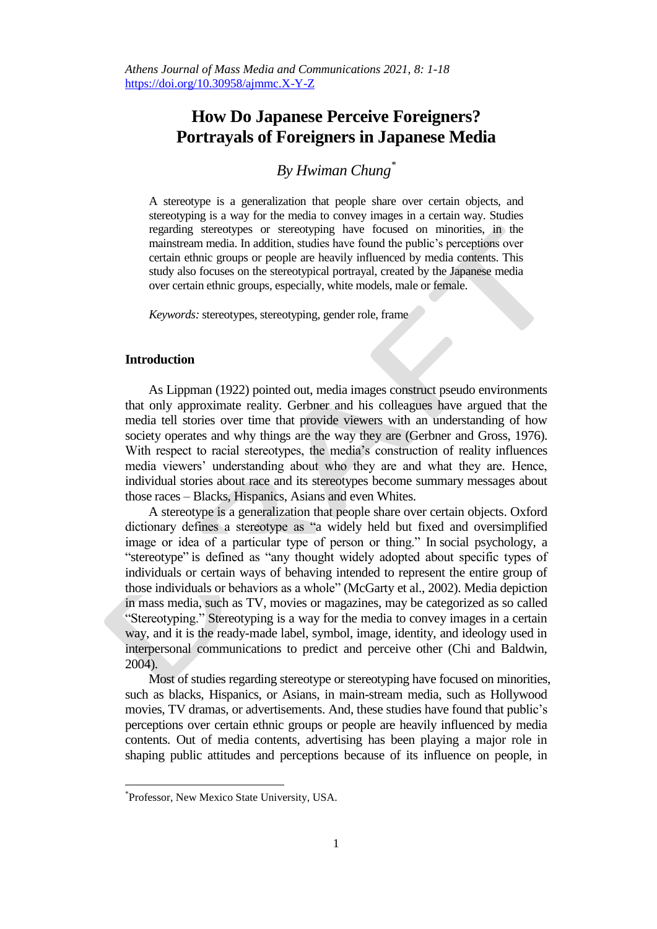## **How Do Japanese Perceive Foreigners? Portrayals of Foreigners in Japanese Media**

# *By Hwiman Chung\**

A stereotype is a generalization that people share over certain objects, and stereotyping is a way for the media to convey images in a certain way. Studies regarding stereotypes or stereotyping have focused on minorities, in the mainstream media. In addition, studies have found the public"s perceptions over certain ethnic groups or people are heavily influenced by media contents. This study also focuses on the stereotypical portrayal, created by the Japanese media over certain ethnic groups, especially, white models, male or female.

*Keywords:* stereotypes, stereotyping, gender role, frame

## **Introduction**

As Lippman (1922) pointed out, media images construct pseudo environments that only approximate reality. Gerbner and his colleagues have argued that the media tell stories over time that provide viewers with an understanding of how society operates and why things are the way they are (Gerbner and Gross, 1976). With respect to racial stereotypes, the media's construction of reality influences media viewers" understanding about who they are and what they are. Hence, individual stories about race and its stereotypes become summary messages about those races – Blacks, Hispanics, Asians and even Whites.

A stereotype is a generalization that people share over certain objects. Oxford dictionary defines a stereotype as "a widely held but fixed and oversimplified image or idea of a particular type of person or thing." In [social psychology,](https://en.wikipedia.org/wiki/Social_psychology) a "stereotype" is defined as "any thought widely adopted about specific types of individuals or certain ways of behaving intended to represent the entire group of those individuals or behaviors as a whole" (McGarty et al., 2002). Media depiction in mass media, such as TV, movies or magazines, may be categorized as so called "Stereotyping." Stereotyping is a way for the media to convey images in a certain way, and it is the ready-made label, symbol, image, identity, and ideology used in interpersonal communications to predict and perceive other (Chi and Baldwin, 2004).

Most of studies regarding stereotype or stereotyping have focused on minorities, such as blacks, Hispanics, or Asians, in main-stream media, such as Hollywood movies, TV dramas, or advertisements. And, these studies have found that public"s perceptions over certain ethnic groups or people are heavily influenced by media contents. Out of media contents, advertising has been playing a major role in shaping public attitudes and perceptions because of its influence on people, in

 $\overline{a}$ 

<sup>\*</sup> Professor, New Mexico State University, USA.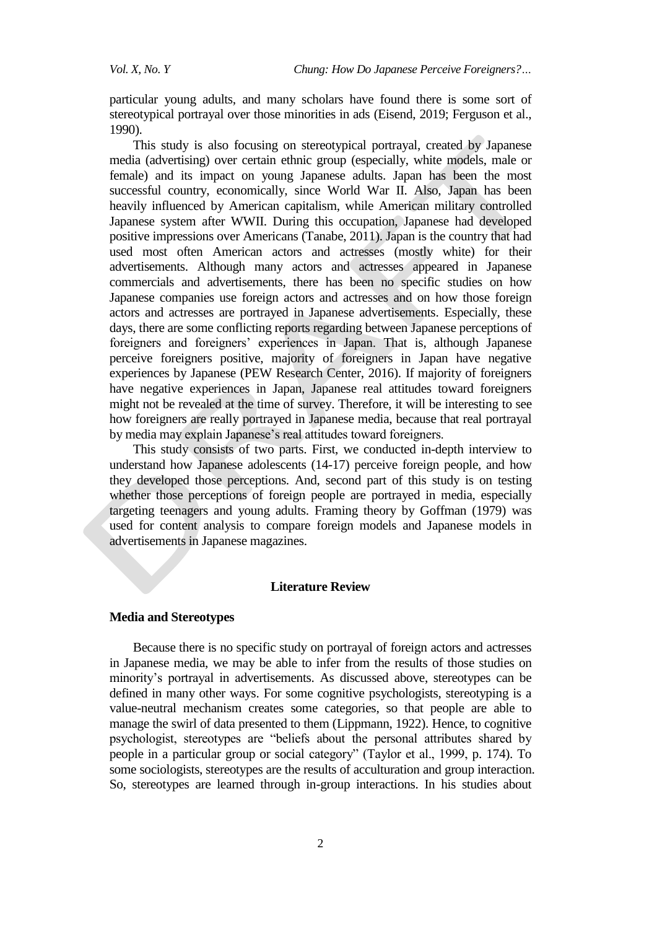particular young adults, and many scholars have found there is some sort of stereotypical portrayal over those minorities in ads (Eisend, 2019; Ferguson et al., 1990).

This study is also focusing on stereotypical portrayal, created by Japanese media (advertising) over certain ethnic group (especially, white models, male or female) and its impact on young Japanese adults. Japan has been the most successful country, economically, since World War II. Also, Japan has been heavily influenced by American capitalism, while American military controlled Japanese system after WWII. During this occupation, Japanese had developed positive impressions over Americans (Tanabe, 2011). Japan is the country that had used most often American actors and actresses (mostly white) for their advertisements. Although many actors and actresses appeared in Japanese commercials and advertisements, there has been no specific studies on how Japanese companies use foreign actors and actresses and on how those foreign actors and actresses are portrayed in Japanese advertisements. Especially, these days, there are some conflicting reports regarding between Japanese perceptions of foreigners and foreigners" experiences in Japan. That is, although Japanese perceive foreigners positive, majority of foreigners in Japan have negative experiences by Japanese (PEW Research Center, 2016). If majority of foreigners have negative experiences in Japan, Japanese real attitudes toward foreigners might not be revealed at the time of survey. Therefore, it will be interesting to see how foreigners are really portrayed in Japanese media, because that real portrayal by media may explain Japanese"s real attitudes toward foreigners.

This study consists of two parts. First, we conducted in-depth interview to understand how Japanese adolescents (14-17) perceive foreign people, and how they developed those perceptions. And, second part of this study is on testing whether those perceptions of foreign people are portrayed in media, especially targeting teenagers and young adults. Framing theory by Goffman (1979) was used for content analysis to compare foreign models and Japanese models in advertisements in Japanese magazines.

#### **Literature Review**

## **Media and Stereotypes**

Because there is no specific study on portrayal of foreign actors and actresses in Japanese media, we may be able to infer from the results of those studies on minority"s portrayal in advertisements. As discussed above, stereotypes can be defined in many other ways. For some cognitive psychologists, stereotyping is a value-neutral mechanism creates some categories, so that people are able to manage the swirl of data presented to them (Lippmann, 1922). Hence, to cognitive psychologist, stereotypes are "beliefs about the personal attributes shared by people in a particular group or social category" (Taylor et al., 1999, p. 174). To some sociologists, stereotypes are the results of acculturation and group interaction. So, stereotypes are learned through in-group interactions. In his studies about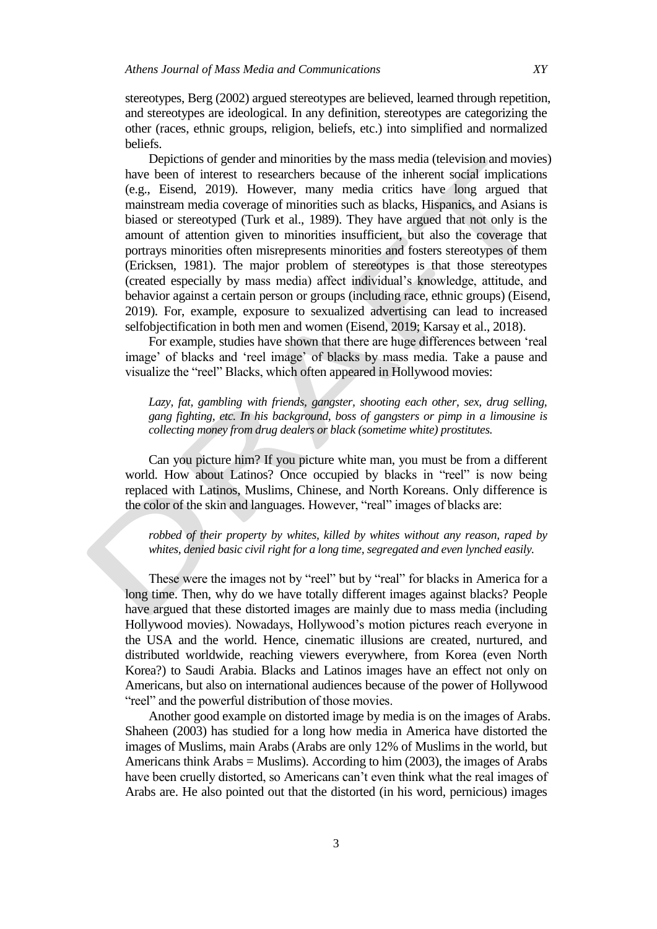stereotypes, Berg (2002) argued stereotypes are believed, learned through repetition, and stereotypes are ideological. In any definition, stereotypes are categorizing the other (races, ethnic groups, religion, beliefs, etc.) into simplified and normalized beliefs.

Depictions of gender and minorities by the mass media (television and movies) have been of interest to researchers because of the inherent social implications (e.g., Eisend, 2019). However, many media critics have long argued that mainstream media coverage of minorities such as blacks, Hispanics, and Asians is biased or stereotyped (Turk et al., 1989). They have argued that not only is the amount of attention given to minorities insufficient, but also the coverage that portrays minorities often misrepresents minorities and fosters stereotypes of them (Ericksen, 1981). The major problem of stereotypes is that those stereotypes (created especially by mass media) affect individual"s knowledge, attitude, and behavior against a certain person or groups (including race, ethnic groups) (Eisend, 2019). For, example, exposure to sexualized advertising can lead to increased selfobjectification in both men and women (Eisend, 2019; Karsay et al., 2018).

For example, studies have shown that there are huge differences between "real image" of blacks and "reel image" of blacks by mass media. Take a pause and visualize the "reel" Blacks, which often appeared in Hollywood movies:

Lazy, fat, gambling with friends, gangster, shooting each other, sex, drug selling, *gang fighting, etc. In his background, boss of gangsters or pimp in a limousine is collecting money from drug dealers or black (sometime white) prostitutes.* 

Can you picture him? If you picture white man, you must be from a different world. How about Latinos? Once occupied by blacks in "reel" is now being replaced with Latinos, Muslims, Chinese, and North Koreans. Only difference is the color of the skin and languages. However, "real" images of blacks are:

*robbed of their property by whites, killed by whites without any reason, raped by whites, denied basic civil right for a long time, segregated and even lynched easily.* 

These were the images not by "reel" but by "real" for blacks in America for a long time. Then, why do we have totally different images against blacks? People have argued that these distorted images are mainly due to mass media (including Hollywood movies). Nowadays, Hollywood"s motion pictures reach everyone in the USA and the world. Hence, cinematic illusions are created, nurtured, and distributed worldwide, reaching viewers everywhere, from Korea (even North Korea?) to Saudi Arabia. Blacks and Latinos images have an effect not only on Americans, but also on international audiences because of the power of Hollywood "reel" and the powerful distribution of those movies.

Another good example on distorted image by media is on the images of Arabs. Shaheen (2003) has studied for a long how media in America have distorted the images of Muslims, main Arabs (Arabs are only 12% of Muslims in the world, but Americans think Arabs = Muslims). According to him (2003), the images of Arabs have been cruelly distorted, so Americans can't even think what the real images of Arabs are. He also pointed out that the distorted (in his word, pernicious) images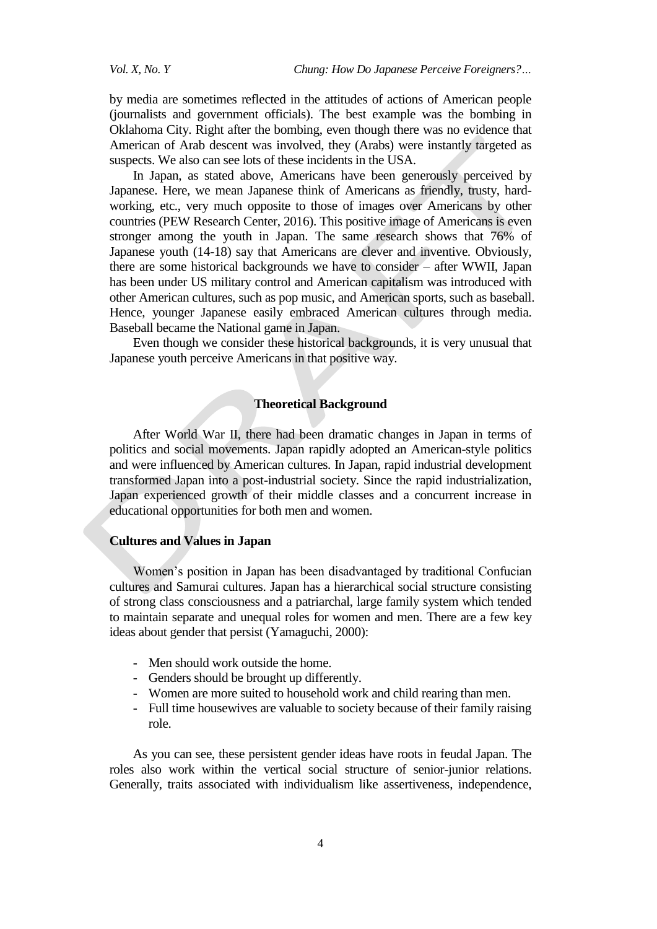by media are sometimes reflected in the attitudes of actions of American people (journalists and government officials). The best example was the bombing in Oklahoma City. Right after the bombing, even though there was no evidence that American of Arab descent was involved, they (Arabs) were instantly targeted as suspects. We also can see lots of these incidents in the USA.

In Japan, as stated above, Americans have been generously perceived by Japanese. Here, we mean Japanese think of Americans as friendly, trusty, hardworking, etc., very much opposite to those of images over Americans by other countries (PEW Research Center, 2016). This positive image of Americans is even stronger among the youth in Japan. The same research shows that 76% of Japanese youth (14-18) say that Americans are clever and inventive. Obviously, there are some historical backgrounds we have to consider – after WWII, Japan has been under US military control and American capitalism was introduced with other American cultures, such as pop music, and American sports, such as baseball. Hence, younger Japanese easily embraced American cultures through media. Baseball became the National game in Japan.

Even though we consider these historical backgrounds, it is very unusual that Japanese youth perceive Americans in that positive way.

## **Theoretical Background**

After World War II, there had been dramatic changes in Japan in terms of politics and social movements. Japan rapidly adopted an American-style politics and were influenced by American cultures. In Japan, rapid industrial development transformed Japan into a post-industrial society. Since the rapid industrialization, Japan experienced growth of their middle classes and a concurrent increase in educational opportunities for both men and women.

### **Cultures and Values in Japan**

Women"s position in Japan has been disadvantaged by traditional Confucian cultures and Samurai cultures. Japan has a hierarchical social structure consisting of strong class consciousness and a patriarchal, large family system which tended to maintain separate and unequal roles for women and men. There are a few key ideas about gender that persist (Yamaguchi, 2000):

- Men should work outside the home.
- Genders should be brought up differently.
- Women are more suited to household work and child rearing than men.
- Full time housewives are valuable to society because of their family raising role.

As you can see, these persistent gender ideas have roots in feudal Japan. The roles also work within the vertical social structure of senior-junior relations. Generally, traits associated with individualism like assertiveness, independence,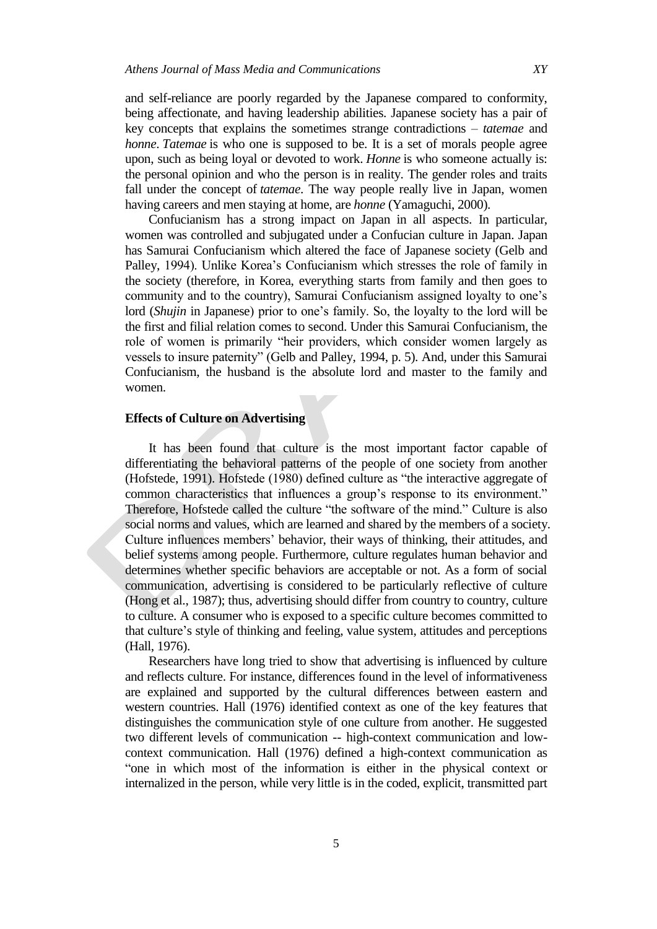and self-reliance are poorly regarded by the Japanese compared to conformity, being affectionate, and having leadership abilities. Japanese society has a pair of key concepts that explains the sometimes strange contradictions – *tatemae* and *honne*. *Tatemae* is who one is supposed to be. It is a set of morals people agree upon, such as being loyal or devoted to work. *Honne* is who someone actually is: the personal opinion and who the person is in reality. The gender roles and traits fall under the concept of *tatemae*. The way people really live in Japan, women having careers and men staying at home, are *honne* (Yamaguchi, 2000).

Confucianism has a strong impact on Japan in all aspects. In particular, women was controlled and subjugated under a Confucian culture in Japan. Japan has Samurai Confucianism which altered the face of Japanese society (Gelb and Palley, 1994). Unlike Korea"s Confucianism which stresses the role of family in the society (therefore, in Korea, everything starts from family and then goes to community and to the country), Samurai Confucianism assigned loyalty to one"s lord *(Shujin* in Japanese) prior to one's family. So, the loyalty to the lord will be the first and filial relation comes to second. Under this Samurai Confucianism, the role of women is primarily "heir providers, which consider women largely as vessels to insure paternity" (Gelb and Palley, 1994, p. 5). And, under this Samurai Confucianism, the husband is the absolute lord and master to the family and women.

## **Effects of Culture on Advertising**

It has been found that culture is the most important factor capable of differentiating the behavioral patterns of the people of one society from another (Hofstede, 1991). Hofstede (1980) defined culture as "the interactive aggregate of common characteristics that influences a group"s response to its environment." Therefore, Hofstede called the culture "the software of the mind." Culture is also social norms and values, which are learned and shared by the members of a society. Culture influences members" behavior, their ways of thinking, their attitudes, and belief systems among people. Furthermore, culture regulates human behavior and determines whether specific behaviors are acceptable or not. As a form of social communication, advertising is considered to be particularly reflective of culture (Hong et al., 1987); thus, advertising should differ from country to country, culture to culture. A consumer who is exposed to a specific culture becomes committed to that culture"s style of thinking and feeling, value system, attitudes and perceptions (Hall, 1976).

Researchers have long tried to show that advertising is influenced by culture and reflects culture. For instance, differences found in the level of informativeness are explained and supported by the cultural differences between eastern and western countries. Hall (1976) identified context as one of the key features that distinguishes the communication style of one culture from another. He suggested two different levels of communication -- high-context communication and lowcontext communication. Hall (1976) defined a high-context communication as "one in which most of the information is either in the physical context or internalized in the person, while very little is in the coded, explicit, transmitted part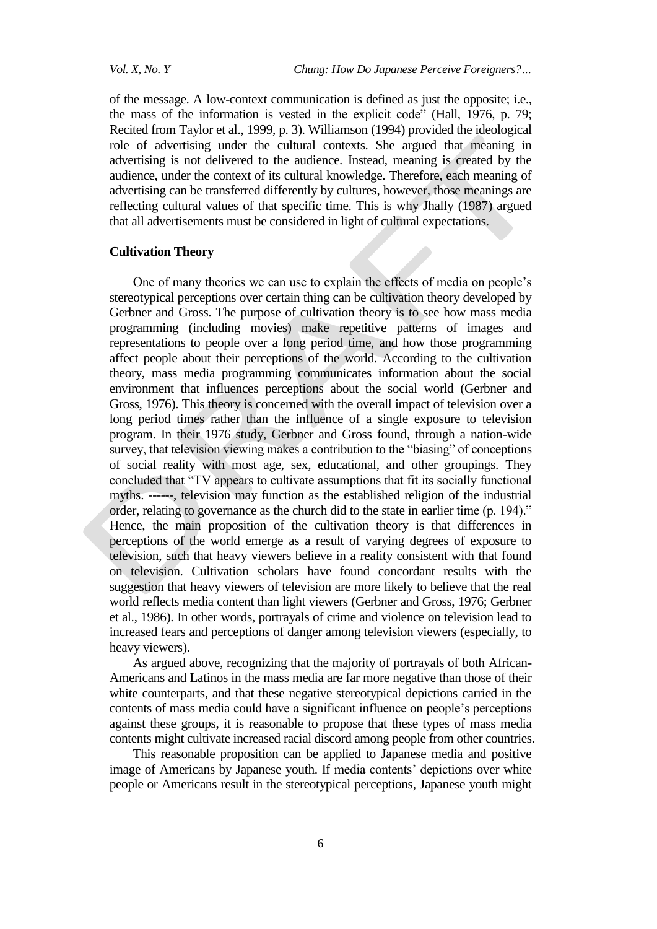of the message. A low-context communication is defined as just the opposite; i.e., the mass of the information is vested in the explicit code" (Hall, 1976, p. 79; Recited from Taylor et al., 1999, p. 3). Williamson (1994) provided the ideological role of advertising under the cultural contexts. She argued that meaning in advertising is not delivered to the audience. Instead, meaning is created by the audience, under the context of its cultural knowledge. Therefore, each meaning of advertising can be transferred differently by cultures, however, those meanings are reflecting cultural values of that specific time. This is why Jhally (1987) argued that all advertisements must be considered in light of cultural expectations.

### **Cultivation Theory**

One of many theories we can use to explain the effects of media on people"s stereotypical perceptions over certain thing can be cultivation theory developed by Gerbner and Gross. The purpose of cultivation theory is to see how mass media programming (including movies) make repetitive patterns of images and representations to people over a long period time, and how those programming affect people about their perceptions of the world. According to the cultivation theory, mass media programming communicates information about the social environment that influences perceptions about the social world (Gerbner and Gross, 1976). This theory is concerned with the overall impact of television over a long period times rather than the influence of a single exposure to television program. In their 1976 study, Gerbner and Gross found, through a nation-wide survey, that television viewing makes a contribution to the "biasing" of conceptions of social reality with most age, sex, educational, and other groupings. They concluded that "TV appears to cultivate assumptions that fit its socially functional myths. ------, television may function as the established religion of the industrial order, relating to governance as the church did to the state in earlier time (p. 194)." Hence, the main proposition of the cultivation theory is that differences in perceptions of the world emerge as a result of varying degrees of exposure to television, such that heavy viewers believe in a reality consistent with that found on television. Cultivation scholars have found concordant results with the suggestion that heavy viewers of television are more likely to believe that the real world reflects media content than light viewers (Gerbner and Gross, 1976; Gerbner et al., 1986). In other words, portrayals of crime and violence on television lead to increased fears and perceptions of danger among television viewers (especially, to heavy viewers).

As argued above, recognizing that the majority of portrayals of both African-Americans and Latinos in the mass media are far more negative than those of their white counterparts, and that these negative stereotypical depictions carried in the contents of mass media could have a significant influence on people"s perceptions against these groups, it is reasonable to propose that these types of mass media contents might cultivate increased racial discord among people from other countries.

This reasonable proposition can be applied to Japanese media and positive image of Americans by Japanese youth. If media contents' depictions over white people or Americans result in the stereotypical perceptions, Japanese youth might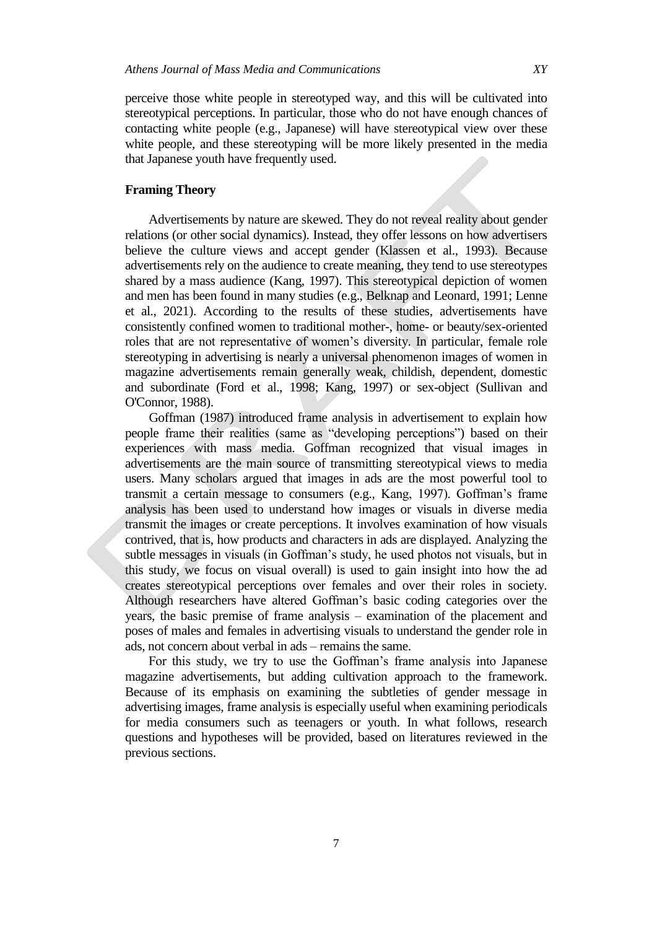perceive those white people in stereotyped way, and this will be cultivated into stereotypical perceptions. In particular, those who do not have enough chances of contacting white people (e.g., Japanese) will have stereotypical view over these white people, and these stereotyping will be more likely presented in the media that Japanese youth have frequently used.

### **Framing Theory**

Advertisements by nature are skewed. They do not reveal reality about gender relations (or other social dynamics). Instead, they offer lessons on how advertisers believe the culture views and accept gender (Klassen et al., 1993). Because advertisements rely on the audience to create meaning, they tend to use stereotypes shared by a mass audience (Kang, 1997). This stereotypical depiction of women and men has been found in many studies (e.g., Belknap and Leonard, 1991; [Lenne](https://www.sciencedirect.com/science/article/pii/S1740144521000371?via%3Dihub#!) et al., 2021). According to the results of these studies, advertisements have consistently confined women to traditional mother-, home- or beauty/sex-oriented roles that are not representative of women"s diversity. In particular, female role stereotyping in advertising is nearly a universal phenomenon images of women in magazine advertisements remain generally weak, childish, dependent, domestic and subordinate (Ford et al., 1998; Kang, 1997) or sex-object (Sullivan and O'Connor, 1988).

Goffman (1987) introduced frame analysis in advertisement to explain how people frame their realities (same as "developing perceptions") based on their experiences with mass media. Goffman recognized that visual images in advertisements are the main source of transmitting stereotypical views to media users. Many scholars argued that images in ads are the most powerful tool to transmit a certain message to consumers (e.g., Kang, 1997). Goffman"s frame analysis has been used to understand how images or visuals in diverse media transmit the images or create perceptions. It involves examination of how visuals contrived, that is, how products and characters in ads are displayed. Analyzing the subtle messages in visuals (in Goffman"s study, he used photos not visuals, but in this study, we focus on visual overall) is used to gain insight into how the ad creates stereotypical perceptions over females and over their roles in society. Although researchers have altered Goffman"s basic coding categories over the years, the basic premise of frame analysis – examination of the placement and poses of males and females in advertising visuals to understand the gender role in ads, not concern about verbal in ads – remains the same.

For this study, we try to use the Goffman"s frame analysis into Japanese magazine advertisements, but adding cultivation approach to the framework. Because of its emphasis on examining the subtleties of gender message in advertising images, frame analysis is especially useful when examining periodicals for media consumers such as teenagers or youth. In what follows, research questions and hypotheses will be provided, based on literatures reviewed in the previous sections.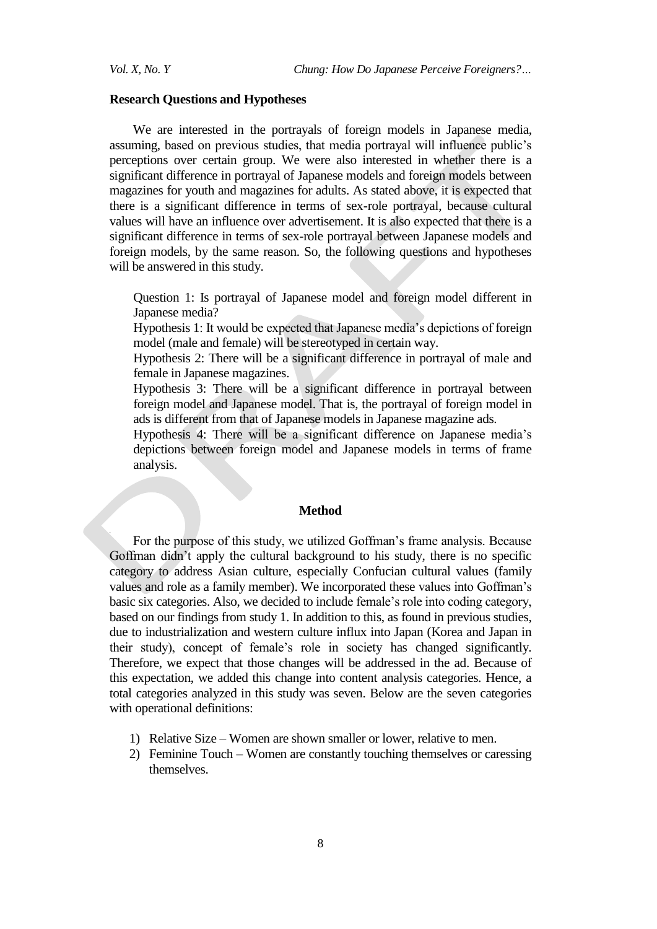#### **Research Questions and Hypotheses**

We are interested in the portrayals of foreign models in Japanese media, assuming, based on previous studies, that media portrayal will influence public"s perceptions over certain group. We were also interested in whether there is a significant difference in portrayal of Japanese models and foreign models between magazines for youth and magazines for adults. As stated above, it is expected that there is a significant difference in terms of sex-role portrayal, because cultural values will have an influence over advertisement. It is also expected that there is a significant difference in terms of sex-role portrayal between Japanese models and foreign models, by the same reason. So, the following questions and hypotheses will be answered in this study.

Question 1: Is portrayal of Japanese model and foreign model different in Japanese media?

Hypothesis 1: It would be expected that Japanese media"s depictions of foreign model (male and female) will be stereotyped in certain way.

Hypothesis 2: There will be a significant difference in portrayal of male and female in Japanese magazines.

Hypothesis 3: There will be a significant difference in portrayal between foreign model and Japanese model. That is, the portrayal of foreign model in ads is different from that of Japanese models in Japanese magazine ads.

Hypothesis 4: There will be a significant difference on Japanese media"s depictions between foreign model and Japanese models in terms of frame analysis.

#### **Method**

For the purpose of this study, we utilized Goffman"s frame analysis. Because Goffman didn"t apply the cultural background to his study, there is no specific category to address Asian culture, especially Confucian cultural values (family values and role as a family member). We incorporated these values into Goffman"s basic six categories. Also, we decided to include female"s role into coding category, based on our findings from study 1. In addition to this, as found in previous studies, due to industrialization and western culture influx into Japan (Korea and Japan in their study), concept of female"s role in society has changed significantly. Therefore, we expect that those changes will be addressed in the ad. Because of this expectation, we added this change into content analysis categories. Hence, a total categories analyzed in this study was seven. Below are the seven categories with operational definitions:

- 1) Relative Size Women are shown smaller or lower, relative to men.
- 2) Feminine Touch Women are constantly touching themselves or caressing themselves.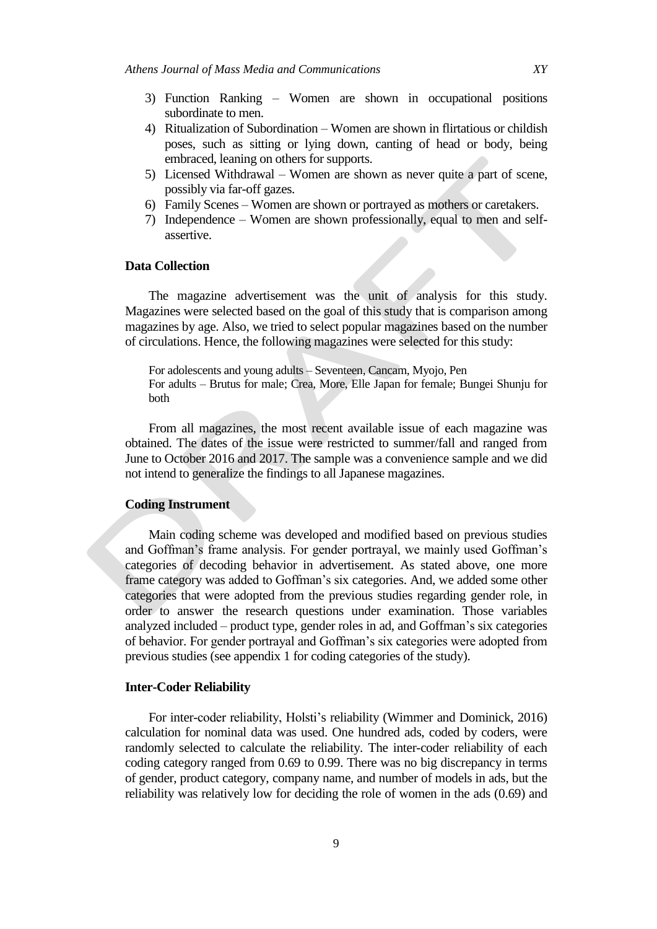- 3) Function Ranking Women are shown in occupational positions subordinate to men.
- 4) Ritualization of Subordination Women are shown in flirtatious or childish poses, such as sitting or lying down, canting of head or body, being embraced, leaning on others for supports.
- 5) Licensed Withdrawal Women are shown as never quite a part of scene, possibly via far-off gazes.
- 6) Family Scenes Women are shown or portrayed as mothers or caretakers.
- 7) Independence Women are shown professionally, equal to men and selfassertive.

#### **Data Collection**

The magazine advertisement was the unit of analysis for this study. Magazines were selected based on the goal of this study that is comparison among magazines by age. Also, we tried to select popular magazines based on the number of circulations. Hence, the following magazines were selected for this study:

For adolescents and young adults – Seventeen, Cancam, Myojo, Pen For adults – Brutus for male; Crea, More, Elle Japan for female; Bungei Shunju for both

From all magazines, the most recent available issue of each magazine was obtained. The dates of the issue were restricted to summer/fall and ranged from June to October 2016 and 2017. The sample was a convenience sample and we did not intend to generalize the findings to all Japanese magazines.

#### **Coding Instrument**

Main coding scheme was developed and modified based on previous studies and Goffman"s frame analysis. For gender portrayal, we mainly used Goffman"s categories of decoding behavior in advertisement. As stated above, one more frame category was added to Goffman"s six categories. And, we added some other categories that were adopted from the previous studies regarding gender role, in order to answer the research questions under examination. Those variables analyzed included – product type, gender roles in ad, and Goffman"s six categories of behavior. For gender portrayal and Goffman"s six categories were adopted from previous studies (see appendix 1 for coding categories of the study).

#### **Inter-Coder Reliability**

For inter-coder reliability, Holsti's reliability (Wimmer and Dominick, 2016) calculation for nominal data was used. One hundred ads, coded by coders, were randomly selected to calculate the reliability. The inter-coder reliability of each coding category ranged from 0.69 to 0.99. There was no big discrepancy in terms of gender, product category, company name, and number of models in ads, but the reliability was relatively low for deciding the role of women in the ads (0.69) and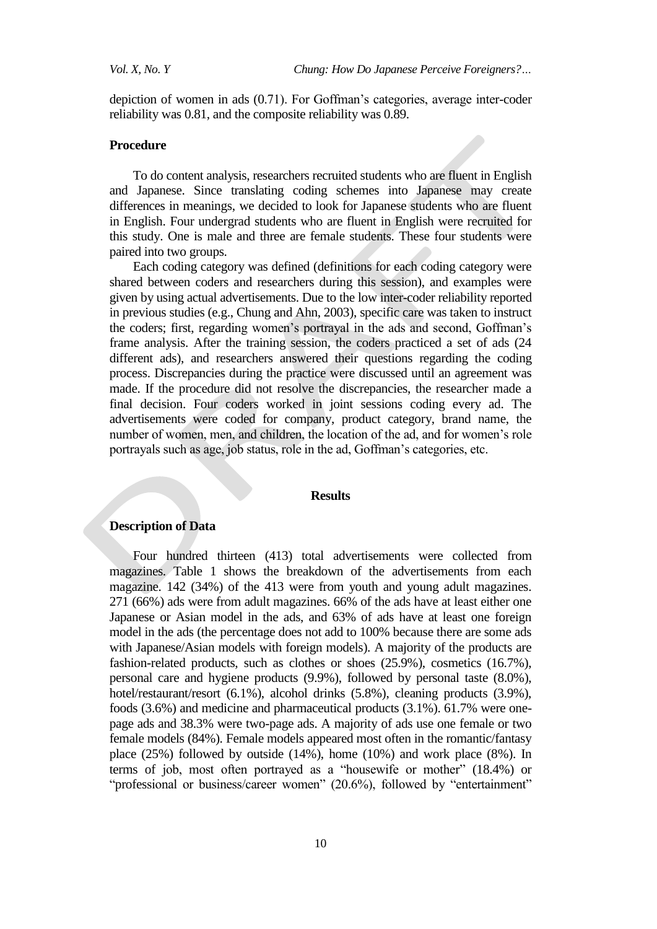depiction of women in ads (0.71). For Goffman"s categories, average inter-coder reliability was 0.81, and the composite reliability was 0.89.

#### **Procedure**

To do content analysis, researchers recruited students who are fluent in English and Japanese. Since translating coding schemes into Japanese may create differences in meanings, we decided to look for Japanese students who are fluent in English. Four undergrad students who are fluent in English were recruited for this study. One is male and three are female students. These four students were paired into two groups.

Each coding category was defined (definitions for each coding category were shared between coders and researchers during this session), and examples were given by using actual advertisements. Due to the low inter-coder reliability reported in previous studies (e.g., Chung and Ahn, 2003), specific care was taken to instruct the coders; first, regarding women"s portrayal in the ads and second, Goffman"s frame analysis. After the training session, the coders practiced a set of ads (24 different ads), and researchers answered their questions regarding the coding process. Discrepancies during the practice were discussed until an agreement was made. If the procedure did not resolve the discrepancies, the researcher made a final decision. Four coders worked in joint sessions coding every ad. The advertisements were coded for company, product category, brand name, the number of women, men, and children, the location of the ad, and for women"s role portrayals such as age, job status, role in the ad, Goffman"s categories, etc.

#### **Results**

#### **Description of Data**

Four hundred thirteen (413) total advertisements were collected from magazines. Table 1 shows the breakdown of the advertisements from each magazine. 142 (34%) of the 413 were from youth and young adult magazines. 271 (66%) ads were from adult magazines. 66% of the ads have at least either one Japanese or Asian model in the ads, and 63% of ads have at least one foreign model in the ads (the percentage does not add to 100% because there are some ads with Japanese/Asian models with foreign models). A majority of the products are fashion-related products, such as clothes or shoes (25.9%), cosmetics (16.7%), personal care and hygiene products (9.9%), followed by personal taste (8.0%), hotel/restaurant/resort (6.1%), alcohol drinks (5.8%), cleaning products (3.9%), foods (3.6%) and medicine and pharmaceutical products (3.1%). 61.7% were onepage ads and 38.3% were two-page ads. A majority of ads use one female or two female models (84%). Female models appeared most often in the romantic/fantasy place (25%) followed by outside (14%), home (10%) and work place (8%). In terms of job, most often portrayed as a "housewife or mother" (18.4%) or "professional or business/career women" (20.6%), followed by "entertainment"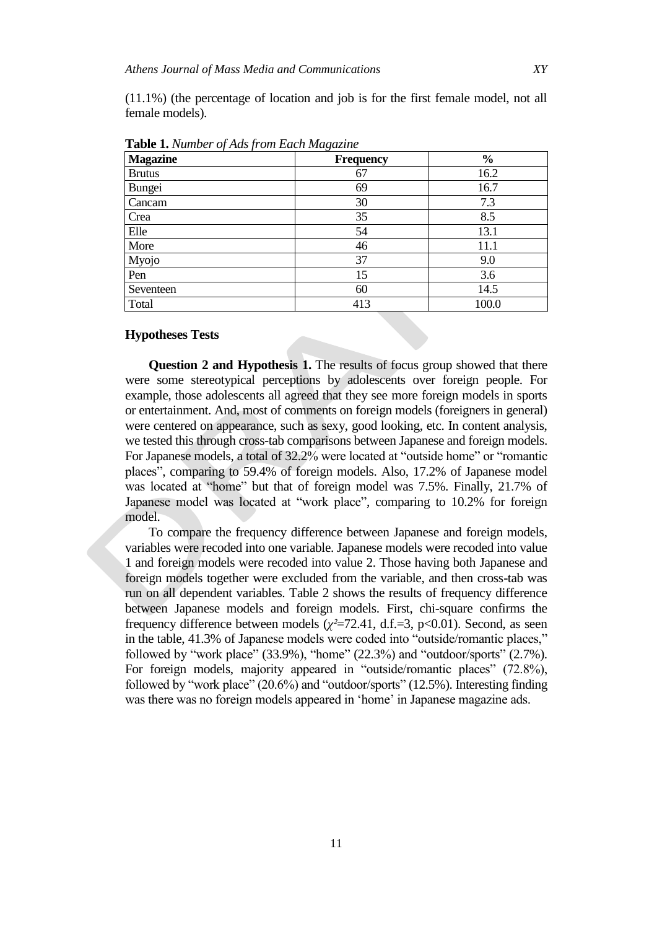(11.1%) (the percentage of location and job is for the first female model, not all female models).

| <b>Magazine</b> | <b>Frequency</b> | $\frac{6}{6}$ |  |  |
|-----------------|------------------|---------------|--|--|
| <b>Brutus</b>   | 67               | 16.2          |  |  |
| Bungei          | 69               | 16.7          |  |  |
| Cancam          | 30               | 7.3           |  |  |
| Crea            | 35               | 8.5           |  |  |
| Elle            | 54               | 13.1          |  |  |
| More            | 46               | 11.1          |  |  |
| Myojo           | 37               | 9.0           |  |  |
| Pen             | 15               | 3.6           |  |  |
| Seventeen       | 60               | 14.5          |  |  |
| Total           | 413              | 100.0         |  |  |

**Table 1.** *Number of Ads from Each Magazine*

## **Hypotheses Tests**

**Question 2 and Hypothesis 1.** The results of focus group showed that there were some stereotypical perceptions by adolescents over foreign people. For example, those adolescents all agreed that they see more foreign models in sports or entertainment. And, most of comments on foreign models (foreigners in general) were centered on appearance, such as sexy, good looking, etc. In content analysis, we tested this through cross-tab comparisons between Japanese and foreign models. For Japanese models, a total of 32.2% were located at "outside home" or "romantic places", comparing to 59.4% of foreign models. Also, 17.2% of Japanese model was located at "home" but that of foreign model was 7.5%. Finally, 21.7% of Japanese model was located at "work place", comparing to 10.2% for foreign model.

To compare the frequency difference between Japanese and foreign models, variables were recoded into one variable. Japanese models were recoded into value 1 and foreign models were recoded into value 2. Those having both Japanese and foreign models together were excluded from the variable, and then cross-tab was run on all dependent variables. Table 2 shows the results of frequency difference between Japanese models and foreign models. First, chi-square confirms the frequency difference between models (*χ²*=72.41, d.f.=3, p<0.01). Second, as seen in the table, 41.3% of Japanese models were coded into "outside/romantic places," followed by "work place"  $(33.9\%)$ , "home"  $(22.3\%)$  and "outdoor/sports"  $(2.7\%)$ . For foreign models, majority appeared in "outside/romantic places" (72.8%), followed by "work place" (20.6%) and "outdoor/sports" (12.5%). Interesting finding was there was no foreign models appeared in 'home' in Japanese magazine ads.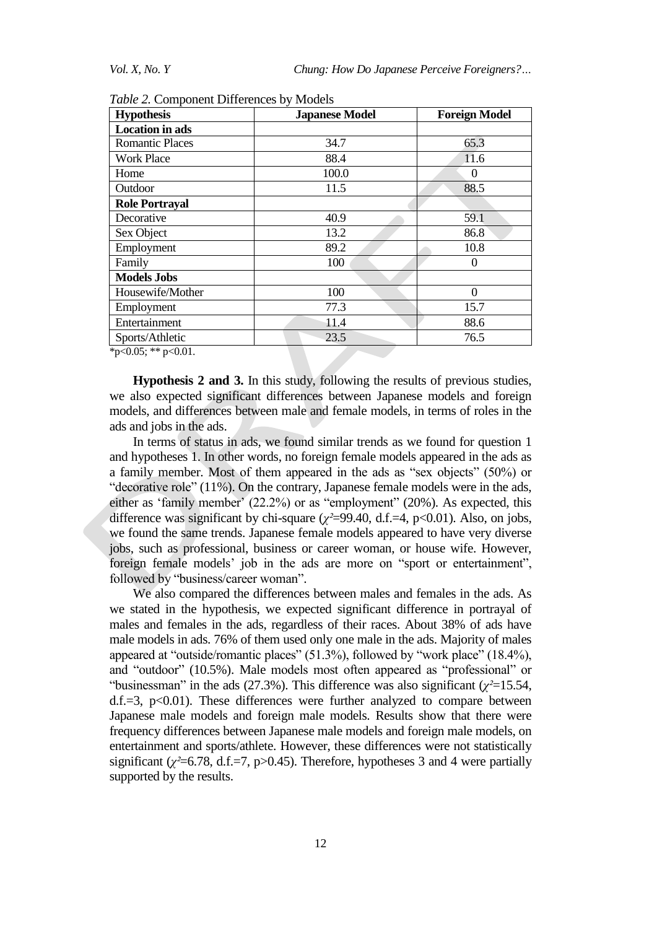| <b>Hypothesis</b>      | <b>Japanese Model</b> | <b>Foreign Model</b> |  |  |
|------------------------|-----------------------|----------------------|--|--|
| <b>Location</b> in ads |                       |                      |  |  |
| <b>Romantic Places</b> | 34.7                  | 65.3                 |  |  |
| <b>Work Place</b>      | 88.4                  | 11.6                 |  |  |
| Home                   | 100.0                 | $\theta$             |  |  |
| Outdoor                | 11.5                  | 88.5                 |  |  |
| <b>Role Portrayal</b>  |                       |                      |  |  |
| Decorative             | 40.9                  | 59.1                 |  |  |
| Sex Object             | 13.2                  | 86.8                 |  |  |
| Employment             | 89.2                  | 10.8                 |  |  |
| Family                 | 100                   | $\Omega$             |  |  |
| <b>Models Jobs</b>     |                       |                      |  |  |
| Housewife/Mother       | 100                   | $\overline{0}$       |  |  |
| Employment             | 77.3                  | 15.7                 |  |  |
| Entertainment          | 11.4                  | 88.6                 |  |  |
| Sports/Athletic        | 23.5                  | 76.5                 |  |  |
| *p<0.05; ** p<0.01.    |                       |                      |  |  |

*Table 2.* Component Differences by Models

**Hypothesis 2 and 3.** In this study, following the results of previous studies, we also expected significant differences between Japanese models and foreign models, and differences between male and female models, in terms of roles in the ads and jobs in the ads.

In terms of status in ads, we found similar trends as we found for question 1 and hypotheses 1. In other words, no foreign female models appeared in the ads as a family member. Most of them appeared in the ads as "sex objects" (50%) or "decorative role" (11%). On the contrary, Japanese female models were in the ads, either as 'family member' (22.2%) or as "employment" (20%). As expected, this difference was significant by chi-square (*χ²*=99.40, d.f.=4, p<0.01). Also, on jobs, we found the same trends. Japanese female models appeared to have very diverse jobs, such as professional, business or career woman, or house wife. However, foreign female models' job in the ads are more on "sport or entertainment", followed by "business/career woman".

We also compared the differences between males and females in the ads. As we stated in the hypothesis, we expected significant difference in portrayal of males and females in the ads, regardless of their races. About 38% of ads have male models in ads. 76% of them used only one male in the ads. Majority of males appeared at "outside/romantic places" (51.3%), followed by "work place" (18.4%), and "outdoor" (10.5%). Male models most often appeared as "professional" or "businessman" in the ads (27.3%). This difference was also significant ( $\chi^2$ =15.54, d.f.=3,  $p<0.01$ ). These differences were further analyzed to compare between Japanese male models and foreign male models. Results show that there were frequency differences between Japanese male models and foreign male models, on entertainment and sports/athlete. However, these differences were not statistically significant ( $\chi^2$ =6.78, d.f.=7, p>0.45). Therefore, hypotheses 3 and 4 were partially supported by the results.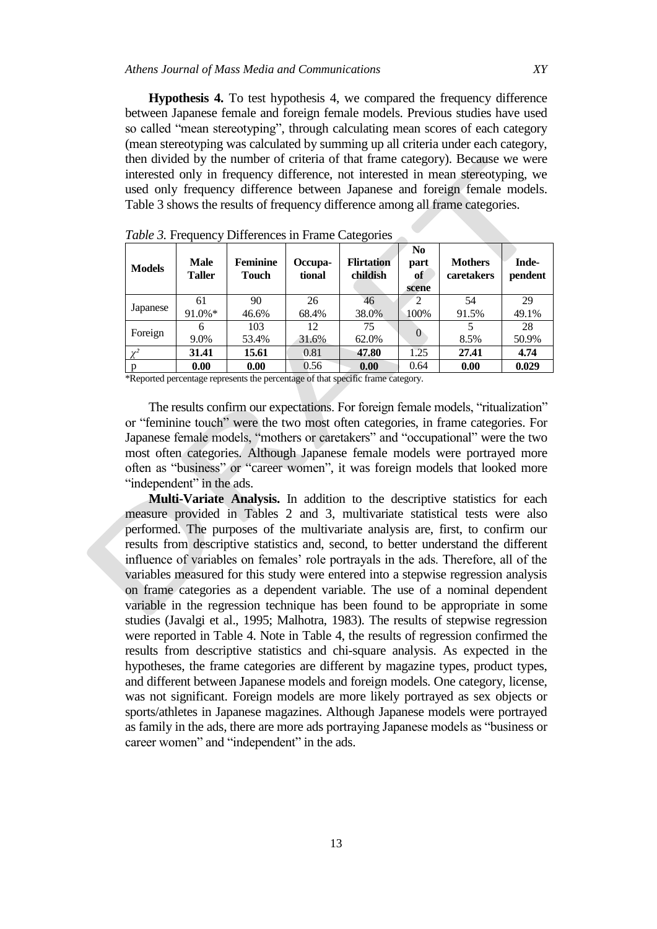**Hypothesis 4.** To test hypothesis 4, we compared the frequency difference between Japanese female and foreign female models. Previous studies have used so called "mean stereotyping", through calculating mean scores of each category (mean stereotyping was calculated by summing up all criteria under each category, then divided by the number of criteria of that frame category). Because we were interested only in frequency difference, not interested in mean stereotyping, we used only frequency difference between Japanese and foreign female models. Table 3 shows the results of frequency difference among all frame categories.

| <b>Models</b> | <b>Male</b><br><b>Taller</b> | <b>Feminine</b><br>Touch | Occupa-<br>tional | <b>Flirtation</b><br>childish | N <sub>0</sub><br>part<br>оf<br>scene | <b>Mothers</b><br>caretakers | Inde-<br>pendent |
|---------------|------------------------------|--------------------------|-------------------|-------------------------------|---------------------------------------|------------------------------|------------------|
| Japanese      | 61                           | 90                       | 26                | 46                            | 2                                     | 54                           | 29               |
|               | $91.0\%*$                    | 46.6%                    | 68.4%             | 38.0%                         | 100%                                  | 91.5%                        | 49.1%            |
| Foreign       | 6                            | 103                      | 12                | 75                            |                                       |                              | 28               |
|               | 9.0%                         | 53.4%                    | 31.6%             | 62.0%                         |                                       | 8.5%                         | 50.9%            |
| $\nu^2$       | 31.41                        | 15.61                    | 0.81              | 47.80                         | 1.25                                  | 27.41                        | 4.74             |
| p             | 0.00                         | 0.00                     | 0.56              | 0.00                          | 0.64                                  | 0.00                         | 0.029            |

|  | Table 3. Frequency Differences in Frame Categories |  |  |
|--|----------------------------------------------------|--|--|
|  |                                                    |  |  |

\*Reported percentage represents the percentage of that specific frame category.

The results confirm our expectations. For foreign female models, "ritualization" or "feminine touch" were the two most often categories, in frame categories. For Japanese female models, "mothers or caretakers" and "occupational" were the two most often categories. Although Japanese female models were portrayed more often as "business" or "career women", it was foreign models that looked more "independent" in the ads.

**Multi-Variate Analysis.** In addition to the descriptive statistics for each measure provided in Tables 2 and 3, multivariate statistical tests were also performed. The purposes of the multivariate analysis are, first, to confirm our results from descriptive statistics and, second, to better understand the different influence of variables on females' role portrayals in the ads. Therefore, all of the variables measured for this study were entered into a stepwise regression analysis on frame categories as a dependent variable. The use of a nominal dependent variable in the regression technique has been found to be appropriate in some studies (Javalgi et al., 1995; Malhotra, 1983). The results of stepwise regression were reported in Table 4. Note in Table 4, the results of regression confirmed the results from descriptive statistics and chi-square analysis. As expected in the hypotheses, the frame categories are different by magazine types, product types, and different between Japanese models and foreign models. One category, license, was not significant. Foreign models are more likely portrayed as sex objects or sports/athletes in Japanese magazines. Although Japanese models were portrayed as family in the ads, there are more ads portraying Japanese models as "business or career women" and "independent" in the ads.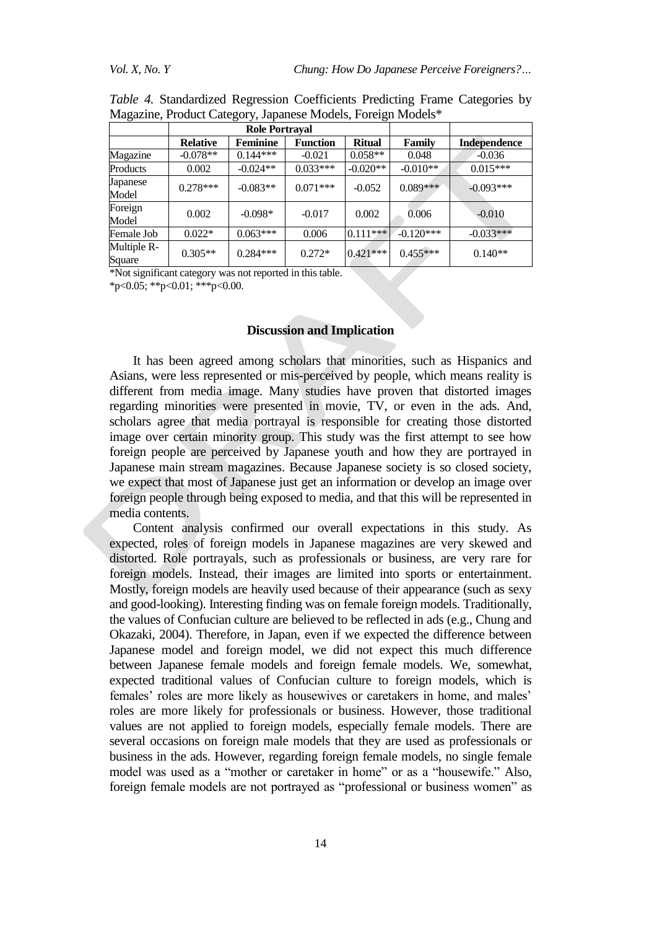|                       |                 | <b>Role Portrayal</b> |                 |               |               |                     |
|-----------------------|-----------------|-----------------------|-----------------|---------------|---------------|---------------------|
|                       | <b>Relative</b> | Feminine              | <b>Function</b> | <b>Ritual</b> | <b>Family</b> | <b>Independence</b> |
| Magazine              | $-0.078**$      | $0.144***$            | $-0.021$        | $0.058**$     | 0.048         | $-0.036$            |
| Products              | 0.002           | $-0.024**$            | $0.033***$      | $-0.020**$    | $-0.010**$    | $0.015***$          |
| Japanese<br>Model     | $0.278***$      | $-0.083**$            | $0.071***$      | $-0.052$      | $0.089***$    | $-0.093***$         |
| Foreign<br>Model      | 0.002           | $-0.098*$             | $-0.017$        | 0.002         | 0.006         | $-0.010$            |
| Female Job            | $0.022*$        | $0.063***$            | 0.006           | $0.111***$    | $-0.120***$   | $-0.033***$         |
| Multiple R-<br>Square | $0.305**$       | $0.284***$            | $0.272*$        | $0.421***$    | $0.455***$    | $0.140**$           |

*Table 4.* Standardized Regression Coefficients Predicting Frame Categories by Magazine, Product Category, Japanese Models, Foreign Models\*

\*Not significant category was not reported in this table.

 $*p<0.05$ ;  $*p<0.01$ ;  $**p<0.00$ .

#### **Discussion and Implication**

It has been agreed among scholars that minorities, such as Hispanics and Asians, were less represented or mis-perceived by people, which means reality is different from media image. Many studies have proven that distorted images regarding minorities were presented in movie, TV, or even in the ads. And, scholars agree that media portrayal is responsible for creating those distorted image over certain minority group. This study was the first attempt to see how foreign people are perceived by Japanese youth and how they are portrayed in Japanese main stream magazines. Because Japanese society is so closed society, we expect that most of Japanese just get an information or develop an image over foreign people through being exposed to media, and that this will be represented in media contents.

Content analysis confirmed our overall expectations in this study. As expected, roles of foreign models in Japanese magazines are very skewed and distorted. Role portrayals, such as professionals or business, are very rare for foreign models. Instead, their images are limited into sports or entertainment. Mostly, foreign models are heavily used because of their appearance (such as sexy and good-looking). Interesting finding was on female foreign models. Traditionally, the values of Confucian culture are believed to be reflected in ads (e.g., Chung and Okazaki, 2004). Therefore, in Japan, even if we expected the difference between Japanese model and foreign model, we did not expect this much difference between Japanese female models and foreign female models. We, somewhat, expected traditional values of Confucian culture to foreign models, which is females' roles are more likely as housewives or caretakers in home, and males' roles are more likely for professionals or business. However, those traditional values are not applied to foreign models, especially female models. There are several occasions on foreign male models that they are used as professionals or business in the ads. However, regarding foreign female models, no single female model was used as a "mother or caretaker in home" or as a "housewife." Also, foreign female models are not portrayed as "professional or business women" as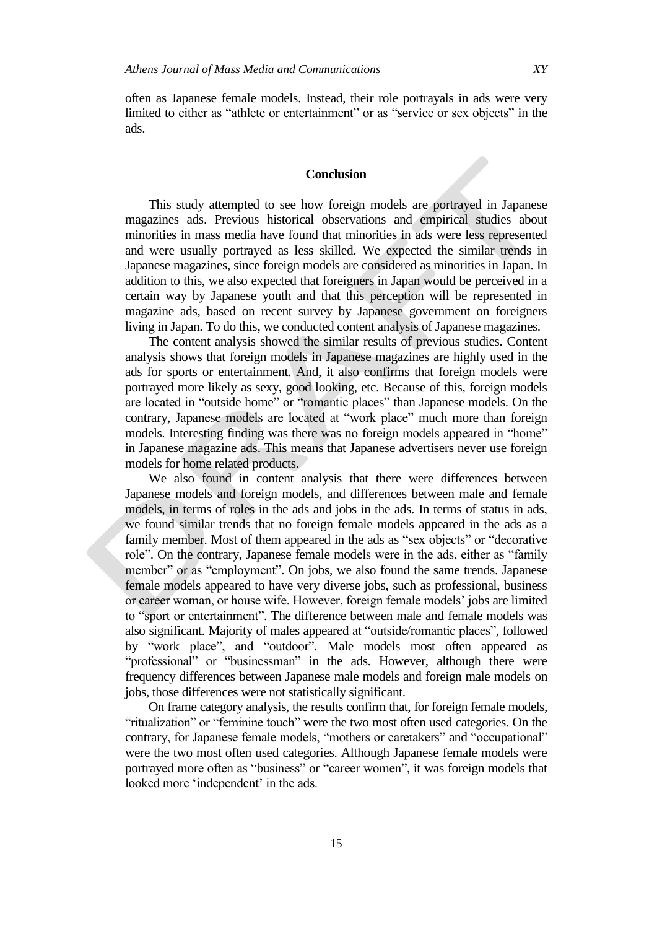often as Japanese female models. Instead, their role portrayals in ads were very limited to either as "athlete or entertainment" or as "service or sex objects" in the ads.

#### **Conclusion**

This study attempted to see how foreign models are portrayed in Japanese magazines ads. Previous historical observations and empirical studies about minorities in mass media have found that minorities in ads were less represented and were usually portrayed as less skilled. We expected the similar trends in Japanese magazines, since foreign models are considered as minorities in Japan. In addition to this, we also expected that foreigners in Japan would be perceived in a certain way by Japanese youth and that this perception will be represented in magazine ads, based on recent survey by Japanese government on foreigners living in Japan. To do this, we conducted content analysis of Japanese magazines.

The content analysis showed the similar results of previous studies. Content analysis shows that foreign models in Japanese magazines are highly used in the ads for sports or entertainment. And, it also confirms that foreign models were portrayed more likely as sexy, good looking, etc. Because of this, foreign models are located in "outside home" or "romantic places" than Japanese models. On the contrary, Japanese models are located at "work place" much more than foreign models. Interesting finding was there was no foreign models appeared in "home" in Japanese magazine ads. This means that Japanese advertisers never use foreign models for home related products.

We also found in content analysis that there were differences between Japanese models and foreign models, and differences between male and female models, in terms of roles in the ads and jobs in the ads. In terms of status in ads, we found similar trends that no foreign female models appeared in the ads as a family member. Most of them appeared in the ads as "sex objects" or "decorative role". On the contrary, Japanese female models were in the ads, either as "family member" or as "employment". On jobs, we also found the same trends. Japanese female models appeared to have very diverse jobs, such as professional, business or career woman, or house wife. However, foreign female models" jobs are limited to "sport or entertainment". The difference between male and female models was also significant. Majority of males appeared at "outside/romantic places", followed by "work place", and "outdoor". Male models most often appeared as "professional" or "businessman" in the ads. However, although there were frequency differences between Japanese male models and foreign male models on jobs, those differences were not statistically significant.

On frame category analysis, the results confirm that, for foreign female models, "ritualization" or "feminine touch" were the two most often used categories. On the contrary, for Japanese female models, "mothers or caretakers" and "occupational" were the two most often used categories. Although Japanese female models were portrayed more often as "business" or "career women", it was foreign models that looked more 'independent' in the ads.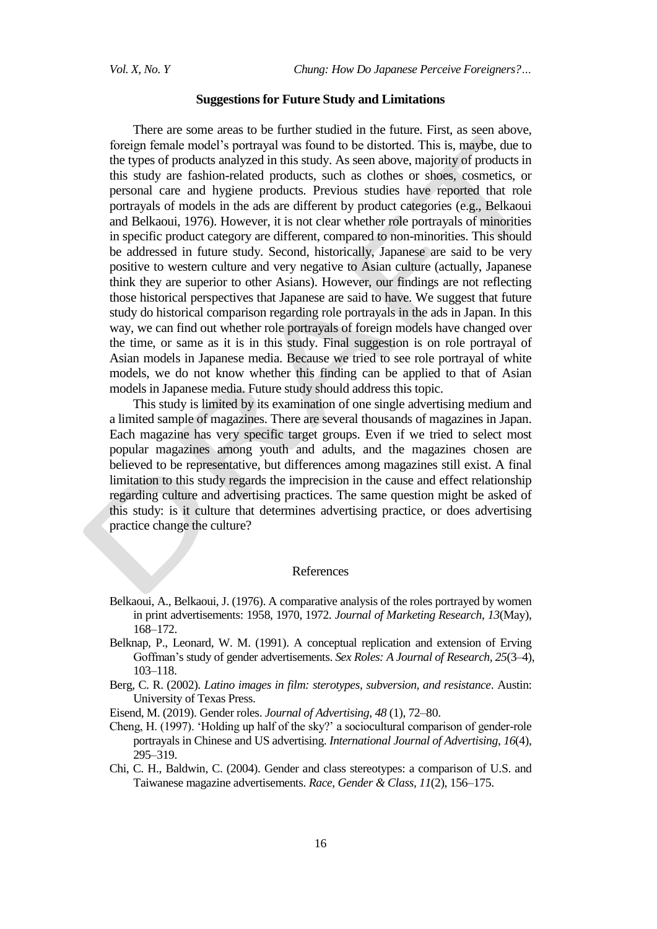#### **Suggestions for Future Study and Limitations**

There are some areas to be further studied in the future. First, as seen above, foreign female model"s portrayal was found to be distorted. This is, maybe, due to the types of products analyzed in this study. As seen above, majority of products in this study are fashion-related products, such as clothes or shoes, cosmetics, or personal care and hygiene products. Previous studies have reported that role portrayals of models in the ads are different by product categories (e.g., Belkaoui and Belkaoui, 1976). However, it is not clear whether role portrayals of minorities in specific product category are different, compared to non-minorities. This should be addressed in future study. Second, historically, Japanese are said to be very positive to western culture and very negative to Asian culture (actually, Japanese think they are superior to other Asians). However, our findings are not reflecting those historical perspectives that Japanese are said to have. We suggest that future study do historical comparison regarding role portrayals in the ads in Japan. In this way, we can find out whether role portrayals of foreign models have changed over the time, or same as it is in this study. Final suggestion is on role portrayal of Asian models in Japanese media. Because we tried to see role portrayal of white models, we do not know whether this finding can be applied to that of Asian models in Japanese media. Future study should address this topic.

This study is limited by its examination of one single advertising medium and a limited sample of magazines. There are several thousands of magazines in Japan. Each magazine has very specific target groups. Even if we tried to select most popular magazines among youth and adults, and the magazines chosen are believed to be representative, but differences among magazines still exist. A final limitation to this study regards the imprecision in the cause and effect relationship regarding culture and advertising practices. The same question might be asked of this study: is it culture that determines advertising practice, or does advertising practice change the culture?

## References

- Belkaoui, A., Belkaoui, J. (1976). A comparative analysis of the roles portrayed by women in print advertisements: 1958, 1970, 1972. *Journal of Marketing Research*, *13*(May), 168–172.
- Belknap, P., Leonard, W. M. (1991). A conceptual replication and extension of Erving Goffman"s study of gender advertisements. *Sex Roles: A Journal of Research, 25*(3–4), 103–118.
- Berg, C. R. (2002). *Latino images in film: sterotypes, subversion, and resistance*. Austin: University of Texas Press.

Eisend, M. (2019). Gender roles. *Journal of Advertising*, *48* (1), 72–80.

- Cheng, H. (1997). "Holding up half of the sky?" a sociocultural comparison of gender-role portrayals in Chinese and US advertising. *International Journal of Advertising*, *16*(4), 295–319.
- Chi, C. H., Baldwin, C. (2004). Gender and class stereotypes: a comparison of U.S. and Taiwanese magazine advertisements. *Race, Gender & Class*, *11*(2), 156–175.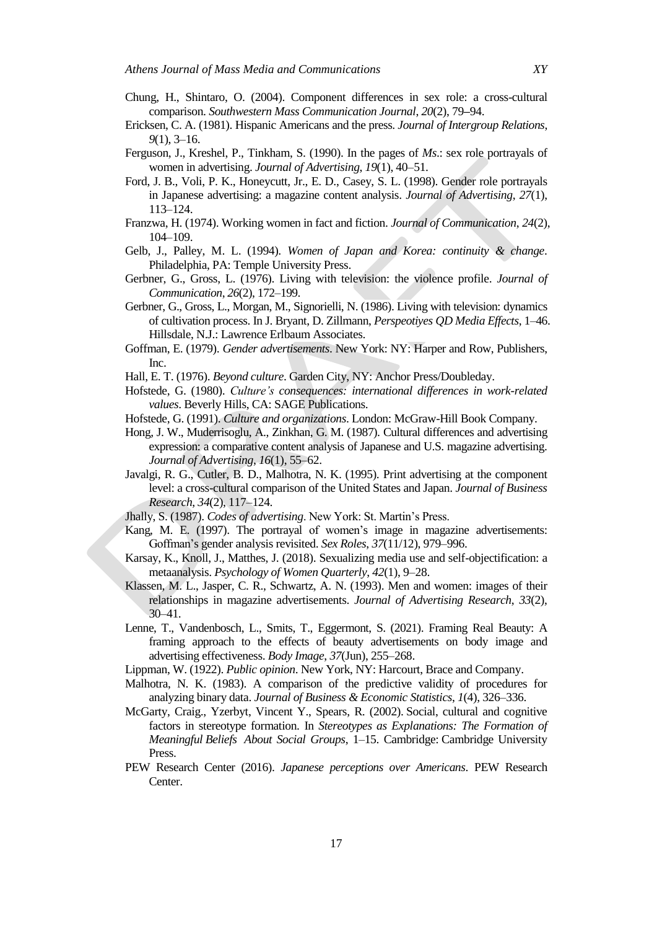- Chung, H., Shintaro, O. (2004). Component differences in sex role: a cross-cultural comparison. *Southwestern Mass Communication Journal*, *20*(2), 79**–**94.
- Ericksen, C. A. (1981). Hispanic Americans and the press. *Journal of Intergroup Relations*, *9*(1), 3–16.
- Ferguson, J., Kreshel, P., Tinkham, S. (1990). In the pages of *Ms*.: sex role portrayals of women in advertising. *Journal of Advertising*, *19*(1), 40–51.
- Ford, J. B., Voli, P. K., Honeycutt, Jr., E. D., Casey, S. L. (1998). Gender role portrayals in Japanese advertising: a magazine content analysis. *Journal of Advertising*, *27*(1), 113–124.
- Franzwa, H. (1974). Working women in fact and fiction. *Journal of Communication*, *24*(2), 104–109.
- Gelb, J., Palley, M. L. (1994). *Women of Japan and Korea: continuity & change*. Philadelphia, PA: Temple University Press.
- Gerbner, G., Gross, L. (1976). Living with television: the violence profile. *Journal of Communication*, *26*(2), 172–199.
- Gerbner, G., Gross, L., Morgan, M., Signorielli, N. (1986). Living with television: dynamics of cultivation process. In J. Bryant, D. Zillmann, *Perspeotiyes QD Media Effects*, 1–46. Hillsdale, N.J.: Lawrence Erlbaum Associates.
- Goffman, E. (1979). *Gender advertisements*. New York: NY: Harper and Row, Publishers, Inc.
- Hall, E. T. (1976). *Beyond culture*. Garden City, NY: Anchor Press/Doubleday.
- Hofstede, G. (1980). *Culture's consequences: international differences in work-related values*. Beverly Hills, CA: SAGE Publications.
- Hofstede, G. (1991). *Culture and organizations*. London: McGraw-Hill Book Company.
- Hong, J. W., Muderrisoglu, A., Zinkhan, G. M. (1987). Cultural differences and advertising expression: a comparative content analysis of Japanese and U.S. magazine advertising. *Journal of Advertising*, *16*(1), 55–62.
- [Javalgi,](https://www.sciencedirect.com/science/article/abs/pii/014829639400116V#!) R. G., [Cutler,](https://www.sciencedirect.com/science/article/abs/pii/014829639400116V#!) B. D., [Malhotra,](https://www.sciencedirect.com/science/article/abs/pii/014829639400116V#!) N. K. (1995). Print advertising at the component level: a cross-cultural comparison of the United States and Japan. *Journal of Business Research*, *34*(2), 117–124.
- Jhally, S. (1987). *Codes of advertising*. New York: St. Martin"s Press.
- Kang, M. E. (1997). The portrayal of women's image in magazine advertisements: Goffman"s gender analysis revisited. *Sex Roles*, *37*(11/12), 979–996.
- Karsay, K., Knoll, J., Matthes, J. (2018). Sexualizing media use and self-objectification: a metaanalysis. *Psychology of Women Quarterly*, *42*(1), 9–28.
- Klassen, M. L., Jasper, C. R., Schwartz, A. N. (1993). Men and women: images of their relationships in magazine advertisements. *Journal of Advertising Research*, *33*(2), 30–41.
- [Lenne,](https://www.sciencedirect.com/science/article/pii/S1740144521000371?via%3Dihub#!) T., [Vandenbosch,](https://www.sciencedirect.com/science/article/pii/S1740144521000371?via%3Dihub#!) L., [Smits,](https://www.sciencedirect.com/science/article/pii/S1740144521000371?via%3Dihub#!) T., [Eggermont,](https://www.sciencedirect.com/science/article/pii/S1740144521000371?via%3Dihub#!) S. (2021). Framing Real Beauty: A framing approach to the effects of beauty advertisements on body image and advertising effectiveness. *[Body Image](https://www.sciencedirect.com/science/journal/17401445)*, *37*(Jun), 255–268.
- Lippman, W. (1922). *Public opinion*. New York, NY: Harcourt, Brace and Company.
- Malhotra, N. K. (1983). A comparison of the predictive validity of procedures for analyzing binary data. *Journal of Business & Economic Statistics*, *1*(4), 326–336.
- McGarty, Craig., Yzerbyt, Vincent Y., Spears, R. (2002). [Social, cultural and cognitive](http://catdir.loc.gov/catdir/samples/cam033/2002073438.pdf)  [factors in stereotype formation. I](http://catdir.loc.gov/catdir/samples/cam033/2002073438.pdf)n *Stereotypes as Explanations: The Formation of Meaningful Beliefs About Social Groups*, 1–15. Cambridge: [Cambridge University](https://en.wikipedia.org/wiki/Cambridge_University_Press)  [Press.](https://en.wikipedia.org/wiki/Cambridge_University_Press)
- PEW Research Center (2016). *Japanese perceptions over Americans*. PEW Research Center.